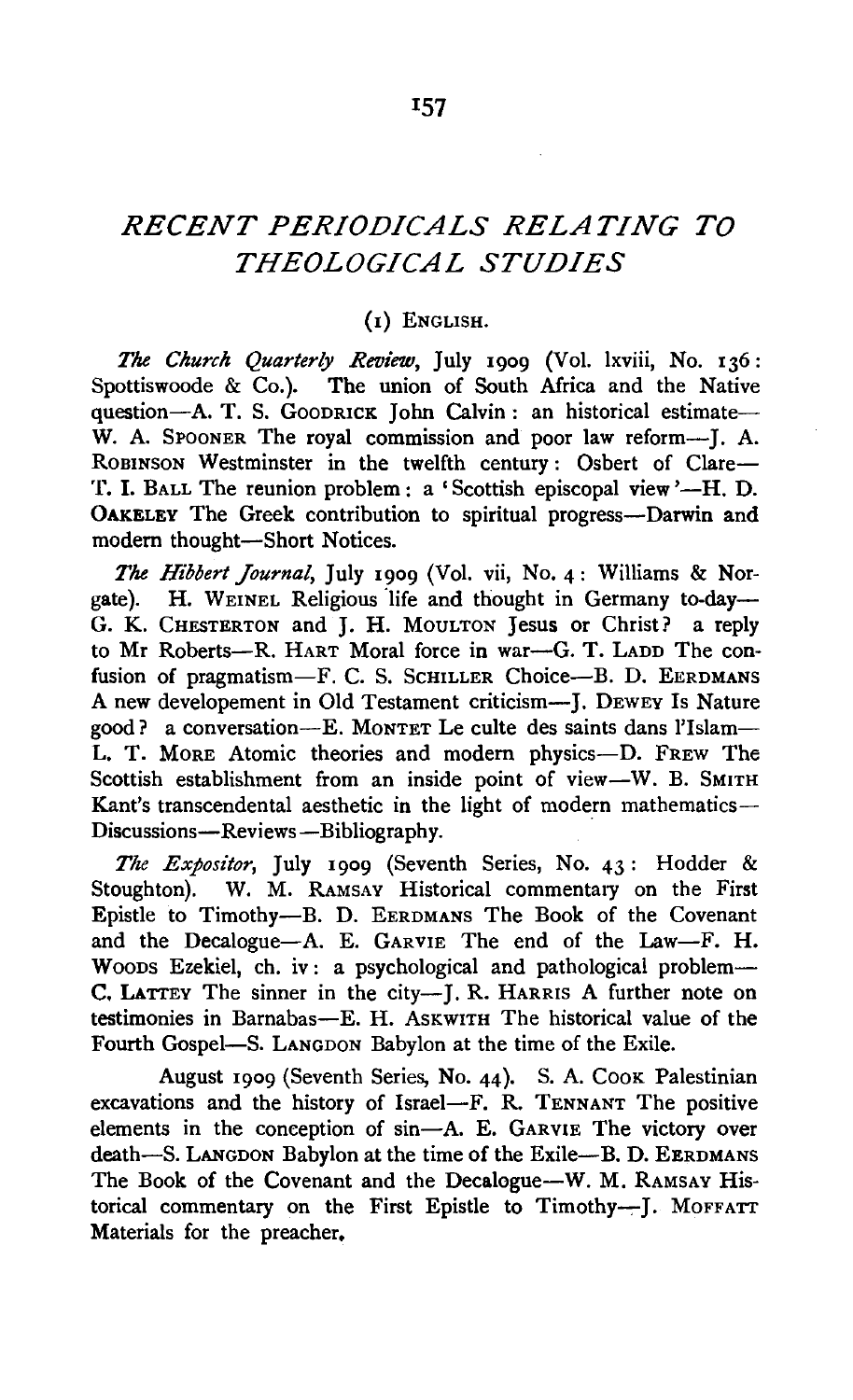# *RECENT PERIODICALS RELATING TO THEOLOGICAL STUDIES*

## (1) ENGLISH.

*The Ckurch Quarterly Review,* July 1909 (Vol. lxviii, No. 136: Spottiswoode & Co.). The union of South Africa and the Native question-A. T. S. GOODRICK John Calvin: an historical estimate-W. A. SPOONER The royal commission and poor law reform----ROBINSON Westminster in the twelfth century: Osbert of Clare-T. I. BALL The reunion problem: a 'Scottish episcopal view '-H. D. OAKELEY The Greek contribution to spiritual progress-Darwin and modern thought-Short Notices.

*The Hibbert Journal,* July 1909 (Vol. vii, No. 4: Williams & Norgate). H. WEINEL Religious life and thought in Germany to-day-G. K. CHESTERTON and J. H. MouLTON Jesus or Christ? a reply to Mr Roberts--R. HART Moral force in war-G. T. LADD The confusion of pragmatism-F. C. S. SCHILLER Choice-B. D. EERDMANS A new developement in Old Testament criticism-J. DEWEY Is Nature good? a conversation-E. MONTET Le culte des saints dans l'Islam-L. T. MORE Atomic theories and modem physics-D. FREW The Scottish establishment from an inside point of view-W. B. SMITH Kant's transcendental aesthetic in the light of modern mathematics-Discussions-Reviews-Bibliography.

*The Expositor,* July 1909 (Seventh Series, No. 43: Hodder & Stoughton). W. M. RAMSAY Historical commentary on the First Epistle to Timothy-B. D. EERDMANS The Book of the Covenant and the Decalogue-A. E. GARVIE The end of the Law-F. H. Woons Ezekiel, ch. iv: a psychological and pathological problem-C. LATTEY The sinner in the city--J. R. HARRIS A further note on testimonies in Barnabas-E. H. AsKWITH The historical value of the Fourth Gospel-S. LANGDON Babylon at the time of the Exile.

August 1909 (Seventh Series, No. 44). S. A. COOK Palestinian excavations and the history of Israel-F. R. TENNANT The positive elements in the conception of sin-A. E. GARVIE The victory over death-S. LANGDON Babylon at the time of the Exile-B. D. EERDMANS The Book of the Covenant and the Decalogue-W. M. RAMSAY Historical commentary on the First Epistle to Timothy---]. MOFFATT Materials for the preacher.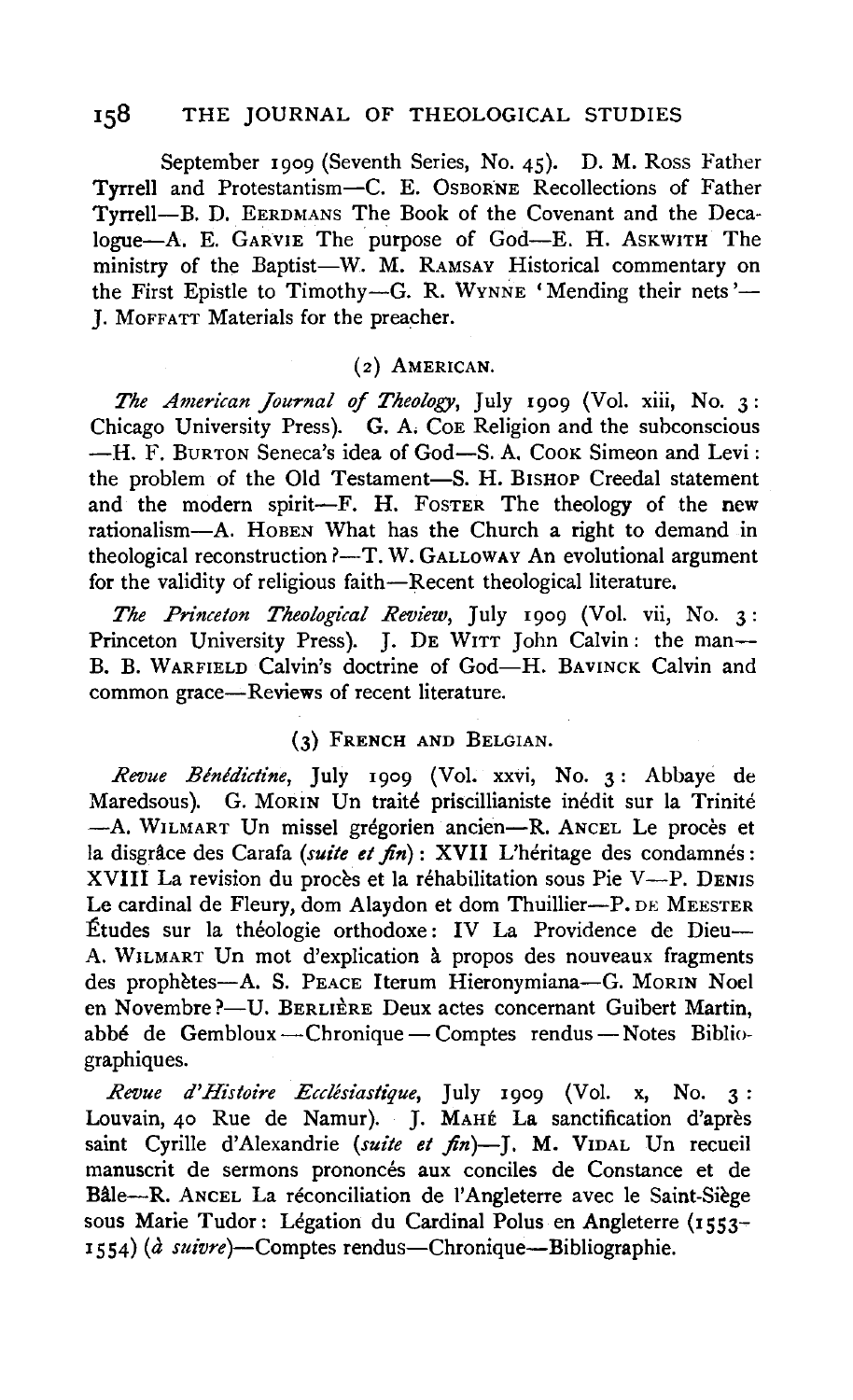## 158 THE JOURNAL OF THEOLOGICAL STUDIES

September 1909 (Seventh Series, No. 45). D. M. Ross Father Tyrrell and Protestantism-C. E. OsBORNE Recollections of Father Tyrrell-B. D. EERDMANS The Book of the Covenant and the Deca-Iogue-A. E. GARVIE The purpose of God-E. H. AsKWITH The ministry of the Baptist-W. M. RAMSAY Historical commentary on the First Epistle to Timothy-G. R. WYNNE 'Mending their nets'-J. MoFFATT Materials for the preacher.

### (2) AMERICAN.

*The American Journal of Theology,* July 1909 (Vol. xiii, No. 3: Chicago University Press). G. A. Coe Religion and the subconscious  $-H.$  F. BURTON Seneca's idea of God-S. A. Cook Simeon and Levi: the problem of the Old Testament-S. H. BISHOP Creedal statement and the modern spirit-F. H. FOSTER The theology of the new rationalism-A. HOBEN What has the Church a right to demand in theological reconstruction ?-T. W. GALLOWAY An evolutional argument for the validity of religious faith-Recent theological literature.

*The Pn'nceton Theological Review,* July 1909 (Vol. vii, No. 3: Princeton University Press). J. DE WITT John Calvin: the man--B. B. WARFIELD Calvin's doctrine of God-H. BAVINCK Calvin and common grace-Reviews of recent literature.

#### (3) FRENCH AND BELGIAN.

*Revue Blnldictine,* July 1909 (Vol. xxvi, No. 3: Abbaye de Maredsous). G. MORIN Un traité priscillianiste inédit sur la Trinité -A. WILMART Un missel grégorien ancien-R. ANCEL Le procès et la disgrâce des Carafa *(suite et fin*): XVII L'héritage des condamnés: XVIII La revision du procès et la réhabilitation sous Pie V-P. DENIS Le cardinal de Fleury, dom Alaydon et dom Thuillier-P. DE MEESTER Études sur la théologie orthodoxe: IV La Providence de Dieu-A. WILMART Un mot d'explication a propos des nouveaux fragments des prophètes-A. S. PEACE Iterum Hieronymiana-G. MORIN Noel en Novembre ?- U. BERLIÈRE Deux actes concernant Guibert Martin, abbé de Gembloux -- Chronique -- Comptes rendus -- Notes Bibliographiques.

*Revue d'Histoire Ecclesiastique,* July 1909 (Vol. x, No. 3 : Louvain, 40 Rue de Namur). J. MAHE La sanctification d'apres saint Cyrille d'Alexandrie (suite et fin)-J. M. VIDAL Un recueil manuscrit de sermons prononcés aux conciles de Constance et de Bâle-R. ANCEL La réconciliation de l'Angleterre avec le Saint-Siège sous Marie Tudor: Légation du Cardinal Polus en Angleterre (1553-1554) (a *suivre)-Comptes* rendus-Chronique-Bibliographie.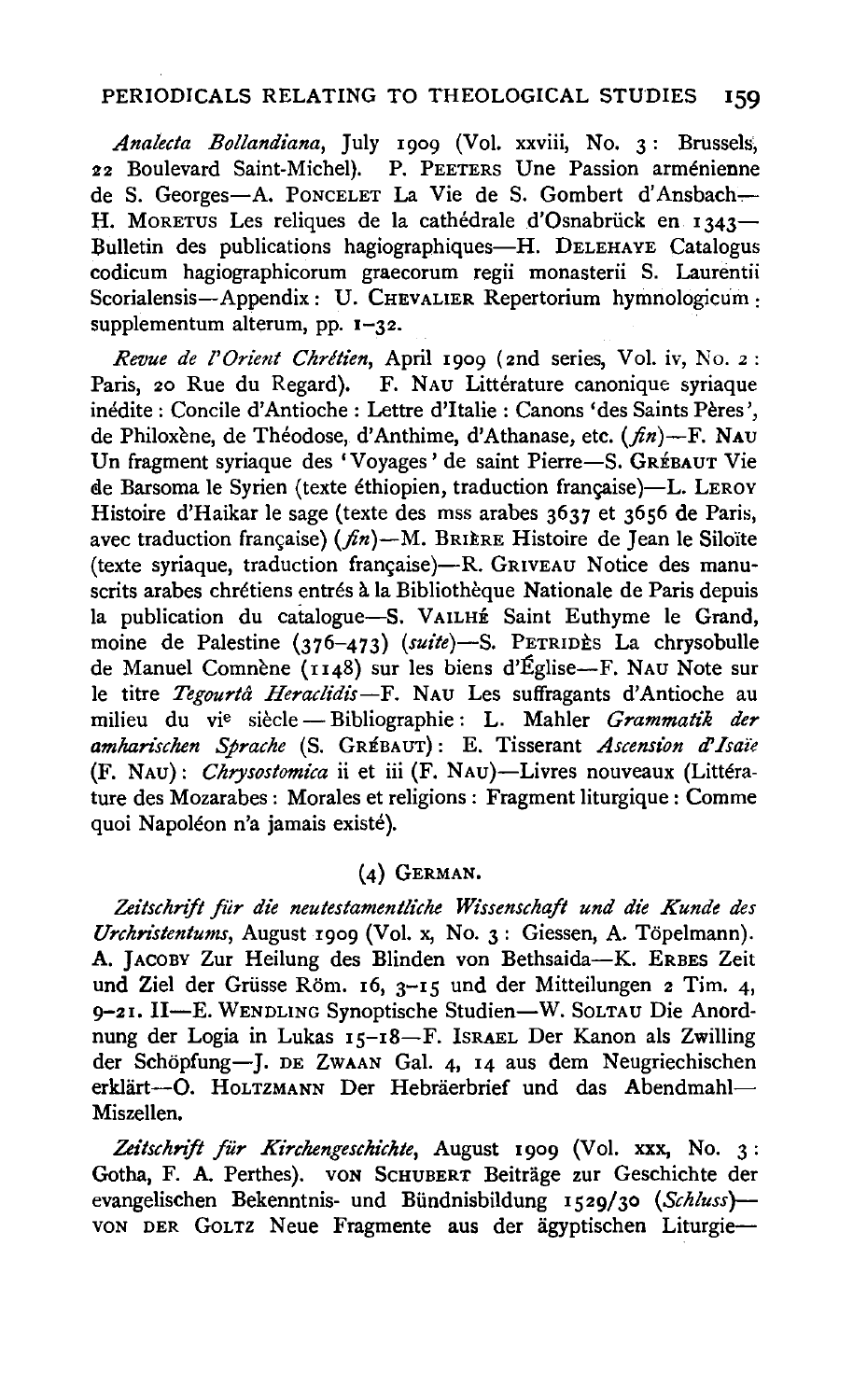## PERIODICALS RELATING TO THEOLOGICAL STUDIES 159

*Ana!ecta Bollandiana,* July 1909 (Vol. xxviii, No. 3: Brussels; 22 Boulevard Saint-Michel). P. PEETERS Une Passion arménienne de S. Georges-A. PONCELET La Vie de S. Gombert d'Ansbach-H. MORETUS Les reliques de la cathédrale d'Osnabrück en 1343-Bulletin des publications hagiographiques-H. DELEHAYE Catalogus codicum hagiographicorum graecorum regii monasterii S. Laurentii Scorialensis-Appendix: U. CHEVALIER Repertorium hymnologicum: supplementum alterum, pp.  $1-32$ .

*Revue de l' Orient Chretien,* April I 909 (2nd series, Vol. iv, No. 2 : Paris, 20 Rue du Regard). F. NAU Littérature canonique syriaque inédite : Concile d'Antioche : Lettre d'Italie : Canons 'des Saints Pères', de Philoxène, de Théodose, d'Anthime, d'Athanase, etc.  $(f_n)$ -F. NAU Un fragment syriaque des 'Voyages' de saint Pierre-S. GRÉBAUT Vie de Barsoma le Syrien (texte éthiopien, traduction française)-L. LEROY Histoire d'Haikar le sage (texte des mss arabes 3637 et 3656 de Paris, avec traduction française) ( $fn$ )-M. BRIERE Histoire de Jean le Siloïte (texte syriaque, traduction française)-R. GRIVEAU Notice des manuscrits arabes chrétiens entrés à la Bibliothèque Nationale de Paris depuis la publication du catalogue-S. VAILHE Saint Euthyme le Grand, moine de Palestine (376-473) (suite)-S. PETRIDES La chrysobulle de Manuel Comnène (1148) sur les biens d'Église-F. NAU Note sur le titre *Tegourta Heraclidis-F.* NAu Les suffragants d'Antioche au milieu du vie siecle- Bibliographie : L. Mahler *Grammatik der amhan'schen Sprache* (S. GREBAUT): E. Tisserant *Ascension* d' *Isai"e*  (F. NAu): *Chrysostomica* ii et iii (F. NAu)-Livres nouveaux (Litterature des Mozarabes: Morales et religions : Fragment liturgique : Comme quoi Napoléon n'a jamais existé).

## (4) GERMAN.

*Zeitschrift fiir die neutestamentli'che Wissenschaft und die Kunde des Urchn'stentums,* August 1909 (Vol. x, No. 3: Giessen, A. Topelmann). A. JACOBY Zur Heilung des Blinden von Bethsaida-K. ERBES Zeit und Ziel der Grüsse Röm. 16, 3-15 und der Mitteilungen 2 Tim. 4, 9-21. II-E. WENDLING Synoptische Studien-W. SOLTAU Die Anordnung der Logia in Lukas 15-18-F. ISRAEL Der Kanon als Zwilling der Schöpfung-J. DE ZwAAN Gal. 4, 14 aus dem Neugriechischen erklärt-O. HOLTZMANN Der Hebräerbrief und das Abendmahl-Miszellen.

Zeitschrift für Kirchengeschichte, August 1909 (Vol. xxx, No. 3: Gotha, F. A. Perthes). VON SCHUBERT Beiträge zur Geschichte der evangelischen Bekenntnis- und Biindnisbildung 1529/30 *(Schluss)-* VON DER GOLTZ Neue Fragmente aus der agyptischen Liturgie-